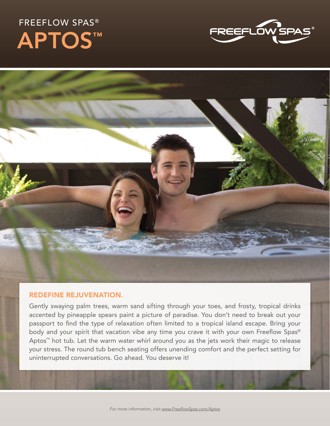## FREEFLOW SPAS® APTOS™





## REDEFINE REJUVENATION.

Gently swaying palm trees, warm sand sifting through your toes, and frosty, tropical drinks accented by pineapple spears paint a picture of paradise. You don't need to break out your passport to find the type of relaxation often limited to a tropical island escape. Bring your body and your spirit that vacation vibe any time you crave it with your own Freeflow Spas® Aptos™ hot tub. Let the warm water whirl around you as the jets work their magic to release your stress. The round tub bench seating offers unending comfort and the perfect setting for uninterrupted conversations. Go ahead. You deserve it!